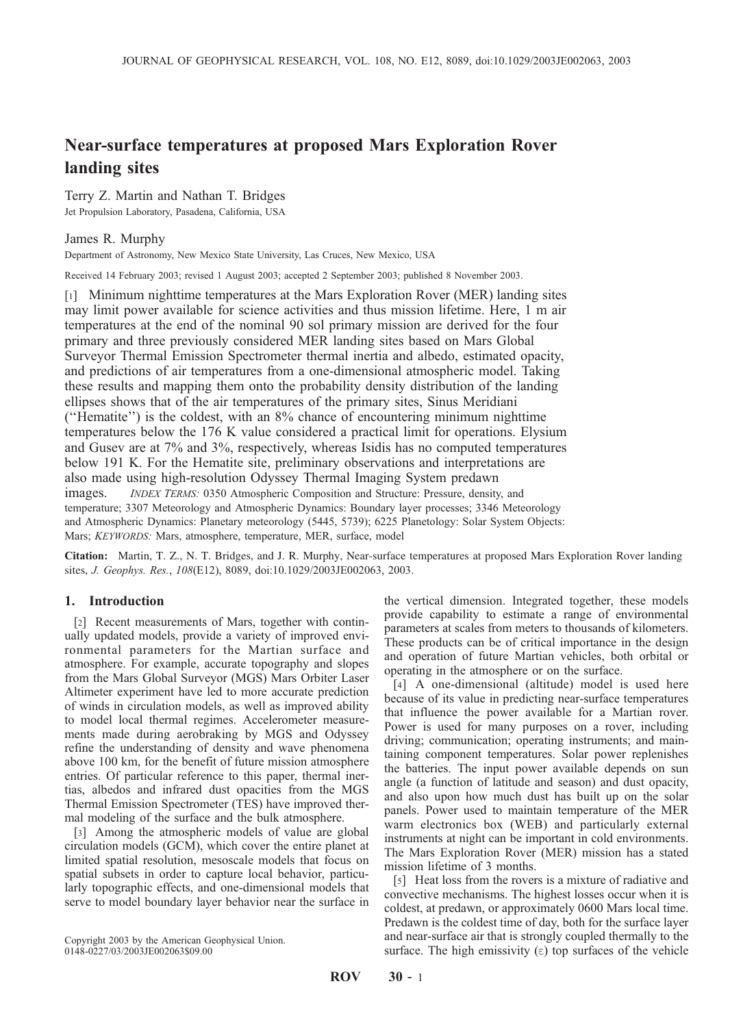# Near-surface temperatures at proposed Mars Exploration Rover landing sites

Terry Z. Martin and Nathan T. Bridges Jet Propulsion Laboratory, Pasadena, California, USA

## James R. Murphy

Department of Astronomy, New Mexico State University, Las Cruces, New Mexico, USA

Received 14 February 2003; revised 1 August 2003; accepted 2 September 2003; published 8 November 2003.

[1] Minimum nighttime temperatures at the Mars Exploration Rover (MER) landing sites may limit power available for science activities and thus mission lifetime. Here, 1 m air temperatures at the end of the nominal 90 sol primary mission are derived for the four primary and three previously considered MER landing sites based on Mars Global Surveyor Thermal Emission Spectrometer thermal inertia and albedo, estimated opacity, and predictions of air temperatures from a one-dimensional atmospheric model. Taking these results and mapping them onto the probability density distribution of the landing ellipses shows that of the air temperatures of the primary sites, Sinus Meridiani (''Hematite'') is the coldest, with an 8% chance of encountering minimum nighttime temperatures below the 176 K value considered a practical limit for operations. Elysium and Gusev are at 7% and 3%, respectively, whereas Isidis has no computed temperatures below 191 K. For the Hematite site, preliminary observations and interpretations are also made using high-resolution Odyssey Thermal Imaging System predawn images. INDEX TERMS: 0350 Atmospheric Composition and Structure: Pressure, density, and temperature; 3307 Meteorology and Atmospheric Dynamics: Boundary layer processes; 3346 Meteorology and Atmospheric Dynamics: Planetary meteorology (5445, 5739); 6225 Planetology: Solar System Objects: Mars; KEYWORDS: Mars, atmosphere, temperature, MER, surface, model

Citation: Martin, T. Z., N. T. Bridges, and J. R. Murphy, Near-surface temperatures at proposed Mars Exploration Rover landing sites, J. Geophys. Res., 108(E12), 8089, doi:10.1029/2003JE002063, 2003.

## 1. Introduction

[2] Recent measurements of Mars, together with continually updated models, provide a variety of improved environmental parameters for the Martian surface and atmosphere. For example, accurate topography and slopes from the Mars Global Surveyor (MGS) Mars Orbiter Laser Altimeter experiment have led to more accurate prediction of winds in circulation models, as well as improved ability to model local thermal regimes. Accelerometer measurements made during aerobraking by MGS and Odyssey refine the understanding of density and wave phenomena above 100 km, for the benefit of future mission atmosphere entries. Of particular reference to this paper, thermal inertias, albedos and infrared dust opacities from the MGS Thermal Emission Spectrometer (TES) have improved thermal modeling of the surface and the bulk atmosphere.

[3] Among the atmospheric models of value are global circulation models (GCM), which cover the entire planet at limited spatial resolution, mesoscale models that focus on spatial subsets in order to capture local behavior, particularly topographic effects, and one-dimensional models that serve to model boundary layer behavior near the surface in

Copyright 2003 by the American Geophysical Union. 0148-0227/03/2003JE002063\$09.00

the vertical dimension. Integrated together, these models provide capability to estimate a range of environmental parameters at scales from meters to thousands of kilometers. These products can be of critical importance in the design and operation of future Martian vehicles, both orbital or operating in the atmosphere or on the surface.

[4] A one-dimensional (altitude) model is used here because of its value in predicting near-surface temperatures that influence the power available for a Martian rover. Power is used for many purposes on a rover, including driving; communication; operating instruments; and maintaining component temperatures. Solar power replenishes the batteries. The input power available depends on sun angle (a function of latitude and season) and dust opacity, and also upon how much dust has built up on the solar panels. Power used to maintain temperature of the MER warm electronics box (WEB) and particularly external instruments at night can be important in cold environments. The Mars Exploration Rover (MER) mission has a stated mission lifetime of 3 months.

[5] Heat loss from the rovers is a mixture of radiative and convective mechanisms. The highest losses occur when it is coldest, at predawn, or approximately 0600 Mars local time. Predawn is the coldest time of day, both for the surface layer and near-surface air that is strongly coupled thermally to the surface. The high emissivity  $(\epsilon)$  top surfaces of the vehicle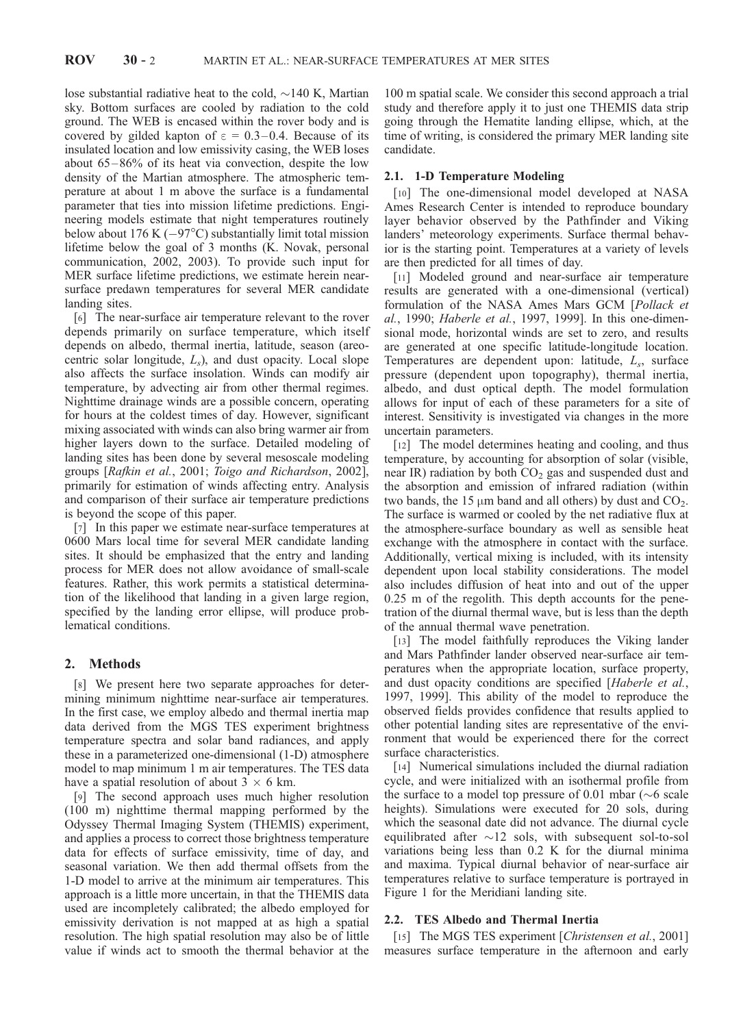lose substantial radiative heat to the cold,  $\sim$ 140 K, Martian sky. Bottom surfaces are cooled by radiation to the cold ground. The WEB is encased within the rover body and is covered by gilded kapton of  $\varepsilon = 0.3-0.4$ . Because of its insulated location and low emissivity casing, the WEB loses about 65– 86% of its heat via convection, despite the low density of the Martian atmosphere. The atmospheric temperature at about 1 m above the surface is a fundamental parameter that ties into mission lifetime predictions. Engineering models estimate that night temperatures routinely below about 176 K  $(-97^{\circ}C)$  substantially limit total mission lifetime below the goal of 3 months (K. Novak, personal communication, 2002, 2003). To provide such input for MER surface lifetime predictions, we estimate herein nearsurface predawn temperatures for several MER candidate landing sites.

[6] The near-surface air temperature relevant to the rover depends primarily on surface temperature, which itself depends on albedo, thermal inertia, latitude, season (areocentric solar longitude,  $L_s$ ), and dust opacity. Local slope also affects the surface insolation. Winds can modify air temperature, by advecting air from other thermal regimes. Nighttime drainage winds are a possible concern, operating for hours at the coldest times of day. However, significant mixing associated with winds can also bring warmer air from higher layers down to the surface. Detailed modeling of landing sites has been done by several mesoscale modeling groups [Rafkin et al., 2001; Toigo and Richardson, 2002], primarily for estimation of winds affecting entry. Analysis and comparison of their surface air temperature predictions is beyond the scope of this paper.

[7] In this paper we estimate near-surface temperatures at 0600 Mars local time for several MER candidate landing sites. It should be emphasized that the entry and landing process for MER does not allow avoidance of small-scale features. Rather, this work permits a statistical determination of the likelihood that landing in a given large region, specified by the landing error ellipse, will produce problematical conditions.

## 2. Methods

[8] We present here two separate approaches for determining minimum nighttime near-surface air temperatures. In the first case, we employ albedo and thermal inertia map data derived from the MGS TES experiment brightness temperature spectra and solar band radiances, and apply these in a parameterized one-dimensional (1-D) atmosphere model to map minimum 1 m air temperatures. The TES data have a spatial resolution of about  $3 \times 6$  km.

[9] The second approach uses much higher resolution (100 m) nighttime thermal mapping performed by the Odyssey Thermal Imaging System (THEMIS) experiment, and applies a process to correct those brightness temperature data for effects of surface emissivity, time of day, and seasonal variation. We then add thermal offsets from the 1-D model to arrive at the minimum air temperatures. This approach is a little more uncertain, in that the THEMIS data used are incompletely calibrated; the albedo employed for emissivity derivation is not mapped at as high a spatial resolution. The high spatial resolution may also be of little value if winds act to smooth the thermal behavior at the

100 m spatial scale. We consider this second approach a trial study and therefore apply it to just one THEMIS data strip going through the Hematite landing ellipse, which, at the time of writing, is considered the primary MER landing site candidate.

## 2.1. 1-D Temperature Modeling

[10] The one-dimensional model developed at NASA Ames Research Center is intended to reproduce boundary layer behavior observed by the Pathfinder and Viking landers' meteorology experiments. Surface thermal behavior is the starting point. Temperatures at a variety of levels are then predicted for all times of day.

[11] Modeled ground and near-surface air temperature results are generated with a one-dimensional (vertical) formulation of the NASA Ames Mars GCM [Pollack et al., 1990; Haberle et al., 1997, 1999]. In this one-dimensional mode, horizontal winds are set to zero, and results are generated at one specific latitude-longitude location. Temperatures are dependent upon: latitude,  $L_s$ , surface pressure (dependent upon topography), thermal inertia, albedo, and dust optical depth. The model formulation allows for input of each of these parameters for a site of interest. Sensitivity is investigated via changes in the more uncertain parameters.

[12] The model determines heating and cooling, and thus temperature, by accounting for absorption of solar (visible, near IR) radiation by both  $CO<sub>2</sub>$  gas and suspended dust and the absorption and emission of infrared radiation (within two bands, the 15  $\mu$ m band and all others) by dust and CO<sub>2</sub>. The surface is warmed or cooled by the net radiative flux at the atmosphere-surface boundary as well as sensible heat exchange with the atmosphere in contact with the surface. Additionally, vertical mixing is included, with its intensity dependent upon local stability considerations. The model also includes diffusion of heat into and out of the upper 0.25 m of the regolith. This depth accounts for the penetration of the diurnal thermal wave, but is less than the depth of the annual thermal wave penetration.

[13] The model faithfully reproduces the Viking lander and Mars Pathfinder lander observed near-surface air temperatures when the appropriate location, surface property, and dust opacity conditions are specified [*Haberle et al.*, 1997, 1999]. This ability of the model to reproduce the observed fields provides confidence that results applied to other potential landing sites are representative of the environment that would be experienced there for the correct surface characteristics.

[14] Numerical simulations included the diurnal radiation cycle, and were initialized with an isothermal profile from the surface to a model top pressure of 0.01 mbar ( $\sim$ 6 scale heights). Simulations were executed for 20 sols, during which the seasonal date did not advance. The diurnal cycle equilibrated after  $\sim$ 12 sols, with subsequent sol-to-sol variations being less than 0.2 K for the diurnal minima and maxima. Typical diurnal behavior of near-surface air temperatures relative to surface temperature is portrayed in Figure 1 for the Meridiani landing site.

## 2.2. TES Albedo and Thermal Inertia

[15] The MGS TES experiment [Christensen et al., 2001] measures surface temperature in the afternoon and early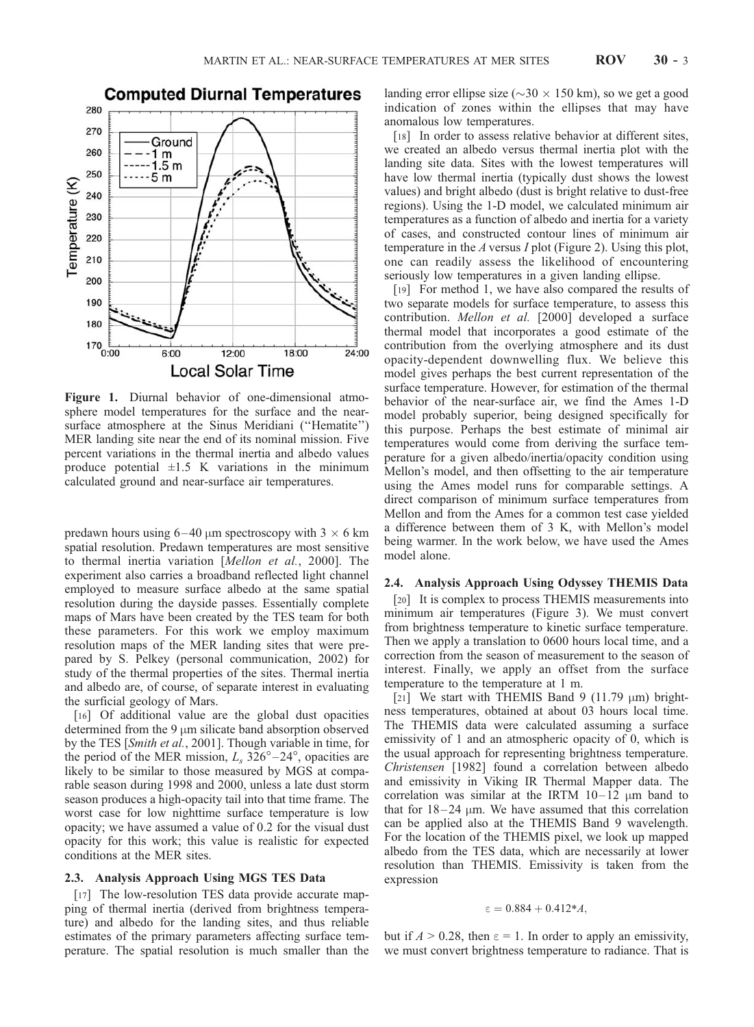

Figure 1. Diurnal behavior of one-dimensional atmosphere model temperatures for the surface and the nearsurface atmosphere at the Sinus Meridiani ("Hematite") MER landing site near the end of its nominal mission. Five percent variations in the thermal inertia and albedo values produce potential  $\pm 1.5$  K variations in the minimum calculated ground and near-surface air temperatures.

predawn hours using  $6-40 \mu m$  spectroscopy with  $3 \times 6 \text{ km}$ spatial resolution. Predawn temperatures are most sensitive to thermal inertia variation [Mellon et al., 2000]. The experiment also carries a broadband reflected light channel employed to measure surface albedo at the same spatial resolution during the dayside passes. Essentially complete maps of Mars have been created by the TES team for both these parameters. For this work we employ maximum resolution maps of the MER landing sites that were prepared by S. Pelkey (personal communication, 2002) for study of the thermal properties of the sites. Thermal inertia and albedo are, of course, of separate interest in evaluating the surficial geology of Mars.

[16] Of additional value are the global dust opacities determined from the 9  $\mu$ m silicate band absorption observed by the TES [Smith et al., 2001]. Though variable in time, for the period of the MER mission,  $L_s$  326°–24°, opacities are likely to be similar to those measured by MGS at comparable season during 1998 and 2000, unless a late dust storm season produces a high-opacity tail into that time frame. The worst case for low nighttime surface temperature is low opacity; we have assumed a value of 0.2 for the visual dust opacity for this work; this value is realistic for expected conditions at the MER sites.

## 2.3. Analysis Approach Using MGS TES Data

[17] The low-resolution TES data provide accurate mapping of thermal inertia (derived from brightness temperature) and albedo for the landing sites, and thus reliable estimates of the primary parameters affecting surface temperature. The spatial resolution is much smaller than the landing error ellipse size ( $\sim$ 30  $\times$  150 km), so we get a good indication of zones within the ellipses that may have anomalous low temperatures.

[18] In order to assess relative behavior at different sites, we created an albedo versus thermal inertia plot with the landing site data. Sites with the lowest temperatures will have low thermal inertia (typically dust shows the lowest values) and bright albedo (dust is bright relative to dust-free regions). Using the 1-D model, we calculated minimum air temperatures as a function of albedo and inertia for a variety of cases, and constructed contour lines of minimum air temperature in the A versus I plot (Figure 2). Using this plot, one can readily assess the likelihood of encountering seriously low temperatures in a given landing ellipse.

[19] For method 1, we have also compared the results of two separate models for surface temperature, to assess this contribution. Mellon et al. [2000] developed a surface thermal model that incorporates a good estimate of the contribution from the overlying atmosphere and its dust opacity-dependent downwelling flux. We believe this model gives perhaps the best current representation of the surface temperature. However, for estimation of the thermal behavior of the near-surface air, we find the Ames 1-D model probably superior, being designed specifically for this purpose. Perhaps the best estimate of minimal air temperatures would come from deriving the surface temperature for a given albedo/inertia/opacity condition using Mellon's model, and then offsetting to the air temperature using the Ames model runs for comparable settings. A direct comparison of minimum surface temperatures from Mellon and from the Ames for a common test case yielded a difference between them of 3 K, with Mellon's model being warmer. In the work below, we have used the Ames model alone.

## 2.4. Analysis Approach Using Odyssey THEMIS Data

[20] It is complex to process THEMIS measurements into minimum air temperatures (Figure 3). We must convert from brightness temperature to kinetic surface temperature. Then we apply a translation to 0600 hours local time, and a correction from the season of measurement to the season of interest. Finally, we apply an offset from the surface temperature to the temperature at 1 m.

[21] We start with THEMIS Band 9 (11.79  $\mu$ m) brightness temperatures, obtained at about 03 hours local time. The THEMIS data were calculated assuming a surface emissivity of 1 and an atmospheric opacity of 0, which is the usual approach for representing brightness temperature. Christensen [1982] found a correlation between albedo and emissivity in Viking IR Thermal Mapper data. The correlation was similar at the IRTM  $10-12 \mu m$  band to that for  $18-24 \mu m$ . We have assumed that this correlation can be applied also at the THEMIS Band 9 wavelength. For the location of the THEMIS pixel, we look up mapped albedo from the TES data, which are necessarily at lower resolution than THEMIS. Emissivity is taken from the expression

$$
\epsilon=0.884+0.412\text{*}A,
$$

but if  $A > 0.28$ , then  $\varepsilon = 1$ . In order to apply an emissivity, we must convert brightness temperature to radiance. That is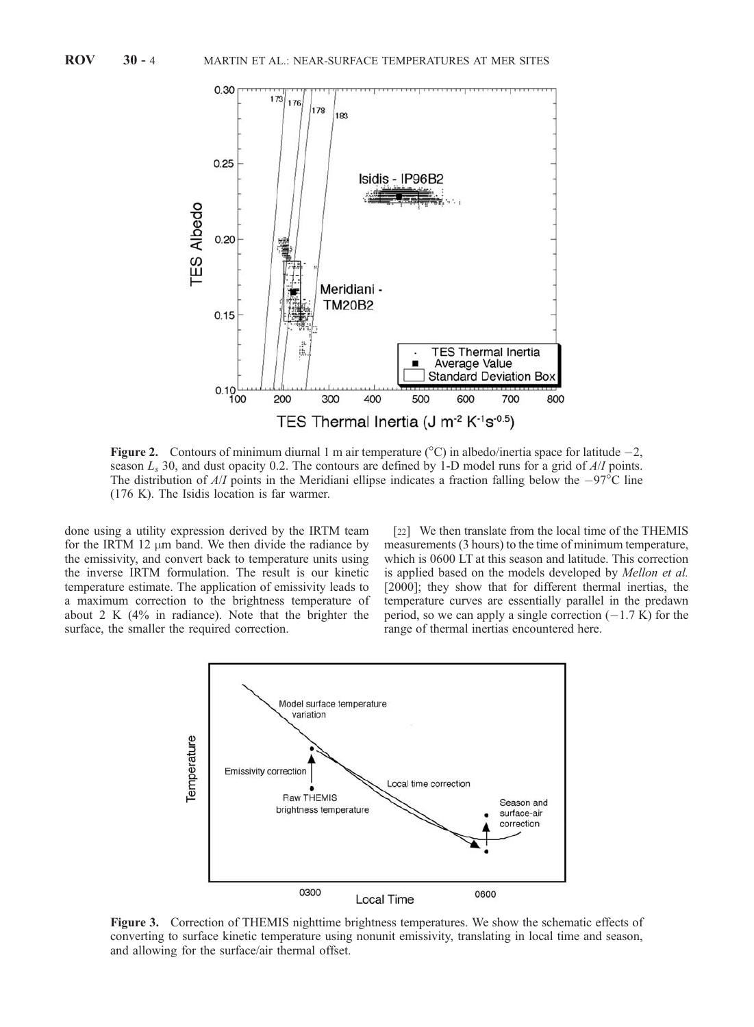

**Figure 2.** Contours of minimum diurnal 1 m air temperature  $({}^{\circ}C)$  in albedo/inertia space for latitude  $-2$ , season  $L_s$  30, and dust opacity 0.2. The contours are defined by 1-D model runs for a grid of  $A/I$  points. The distribution of  $A/I$  points in the Meridiani ellipse indicates a fraction falling below the  $-97^{\circ}$ C line (176 K). The Isidis location is far warmer.

done using a utility expression derived by the IRTM team for the IRTM 12  $\mu$ m band. We then divide the radiance by the emissivity, and convert back to temperature units using the inverse IRTM formulation. The result is our kinetic temperature estimate. The application of emissivity leads to a maximum correction to the brightness temperature of about 2 K (4% in radiance). Note that the brighter the surface, the smaller the required correction.

[22] We then translate from the local time of the THEMIS measurements (3 hours) to the time of minimum temperature, which is 0600 LT at this season and latitude. This correction is applied based on the models developed by Mellon et al. [2000]; they show that for different thermal inertias, the temperature curves are essentially parallel in the predawn period, so we can apply a single correction  $(-1.7 \text{ K})$  for the range of thermal inertias encountered here.



Figure 3. Correction of THEMIS nighttime brightness temperatures. We show the schematic effects of converting to surface kinetic temperature using nonunit emissivity, translating in local time and season, and allowing for the surface/air thermal offset.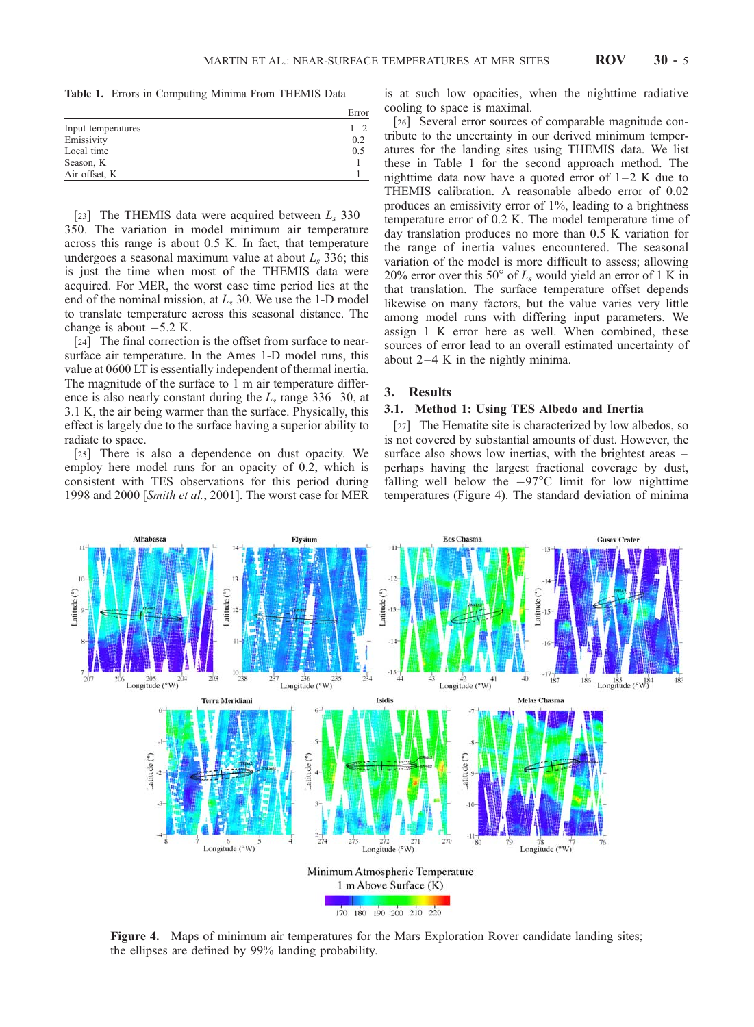Table 1. Errors in Computing Minima From THEMIS Data

|                    | Error   |
|--------------------|---------|
| Input temperatures | $1 - 2$ |
| Emissivity         | 0.2     |
| Local time         | 0.5     |
| Season, K          |         |
| Air offset, K      |         |

[23] The THEMIS data were acquired between  $L_s$  330– 350. The variation in model minimum air temperature across this range is about 0.5 K. In fact, that temperature undergoes a seasonal maximum value at about  $L_s$  336; this is just the time when most of the THEMIS data were acquired. For MER, the worst case time period lies at the end of the nominal mission, at  $L_s$  30. We use the 1-D model to translate temperature across this seasonal distance. The change is about  $-5.2$  K.

[24] The final correction is the offset from surface to nearsurface air temperature. In the Ames 1-D model runs, this value at 0600 LT is essentially independent of thermal inertia. The magnitude of the surface to 1 m air temperature difference is also nearly constant during the  $L_s$  range 336–30, at 3.1 K, the air being warmer than the surface. Physically, this effect is largely due to the surface having a superior ability to radiate to space.

[25] There is also a dependence on dust opacity. We employ here model runs for an opacity of 0.2, which is consistent with TES observations for this period during 1998 and 2000 [Smith et al., 2001]. The worst case for MER is at such low opacities, when the nighttime radiative cooling to space is maximal.

[26] Several error sources of comparable magnitude contribute to the uncertainty in our derived minimum temperatures for the landing sites using THEMIS data. We list these in Table 1 for the second approach method. The nighttime data now have a quoted error of  $1-2$  K due to THEMIS calibration. A reasonable albedo error of 0.02 produces an emissivity error of 1%, leading to a brightness temperature error of 0.2 K. The model temperature time of day translation produces no more than 0.5 K variation for the range of inertia values encountered. The seasonal variation of the model is more difficult to assess; allowing 20% error over this 50 $^{\circ}$  of  $L_s$  would yield an error of 1 K in that translation. The surface temperature offset depends likewise on many factors, but the value varies very little among model runs with differing input parameters. We assign 1 K error here as well. When combined, these sources of error lead to an overall estimated uncertainty of about  $2-4$  K in the nightly minima.

#### 3. Results

### 3.1. Method 1: Using TES Albedo and Inertia

[27] The Hematite site is characterized by low albedos, so is not covered by substantial amounts of dust. However, the surface also shows low inertias, with the brightest areas – perhaps having the largest fractional coverage by dust, falling well below the  $-97^{\circ}$ C limit for low nighttime temperatures (Figure 4). The standard deviation of minima



Figure 4. Maps of minimum air temperatures for the Mars Exploration Rover candidate landing sites; the ellipses are defined by 99% landing probability.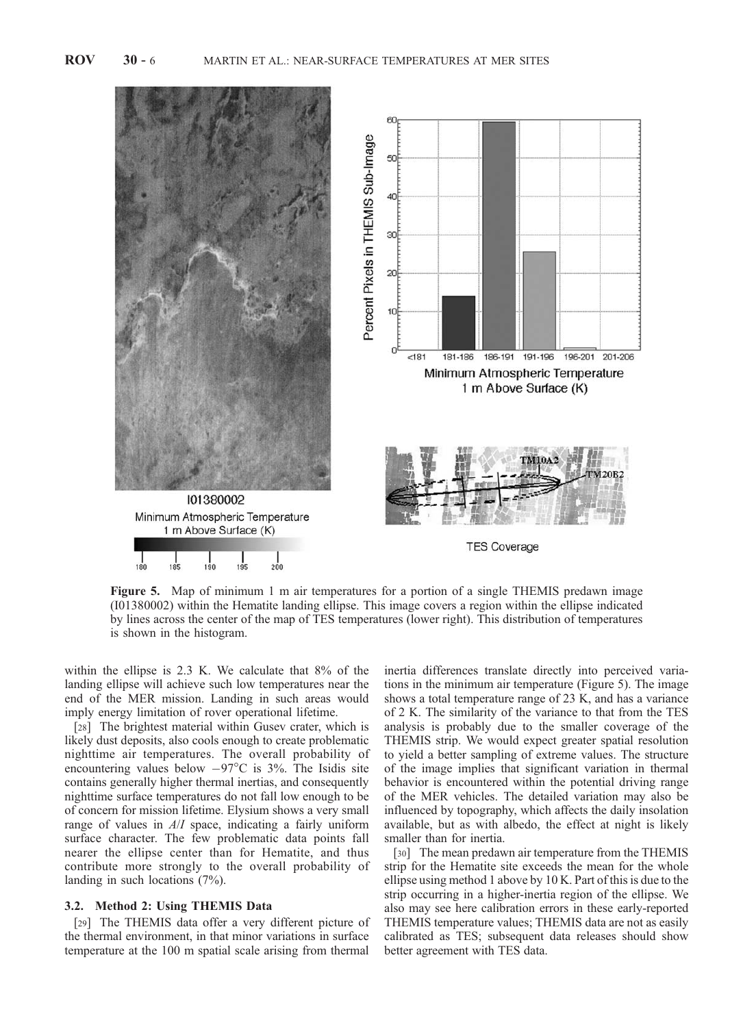

Figure 5. Map of minimum 1 m air temperatures for a portion of a single THEMIS predawn image (I01380002) within the Hematite landing ellipse. This image covers a region within the ellipse indicated by lines across the center of the map of TES temperatures (lower right). This distribution of temperatures is shown in the histogram.

within the ellipse is 2.3 K. We calculate that 8% of the landing ellipse will achieve such low temperatures near the end of the MER mission. Landing in such areas would imply energy limitation of rover operational lifetime.

[28] The brightest material within Gusev crater, which is likely dust deposits, also cools enough to create problematic nighttime air temperatures. The overall probability of encountering values below  $-97^{\circ}$ C is 3%. The Isidis site contains generally higher thermal inertias, and consequently nighttime surface temperatures do not fall low enough to be of concern for mission lifetime. Elysium shows a very small range of values in A/I space, indicating a fairly uniform surface character. The few problematic data points fall nearer the ellipse center than for Hematite, and thus contribute more strongly to the overall probability of landing in such locations (7%).

## 3.2. Method 2: Using THEMIS Data

[29] The THEMIS data offer a very different picture of the thermal environment, in that minor variations in surface temperature at the 100 m spatial scale arising from thermal

inertia differences translate directly into perceived variations in the minimum air temperature (Figure 5). The image shows a total temperature range of 23 K, and has a variance of 2 K. The similarity of the variance to that from the TES analysis is probably due to the smaller coverage of the THEMIS strip. We would expect greater spatial resolution to yield a better sampling of extreme values. The structure of the image implies that significant variation in thermal behavior is encountered within the potential driving range of the MER vehicles. The detailed variation may also be influenced by topography, which affects the daily insolation available, but as with albedo, the effect at night is likely smaller than for inertia.

[30] The mean predawn air temperature from the THEMIS strip for the Hematite site exceeds the mean for the whole ellipse using method 1 above by 10 K. Part of this is due to the strip occurring in a higher-inertia region of the ellipse. We also may see here calibration errors in these early-reported THEMIS temperature values; THEMIS data are not as easily calibrated as TES; subsequent data releases should show better agreement with TES data.